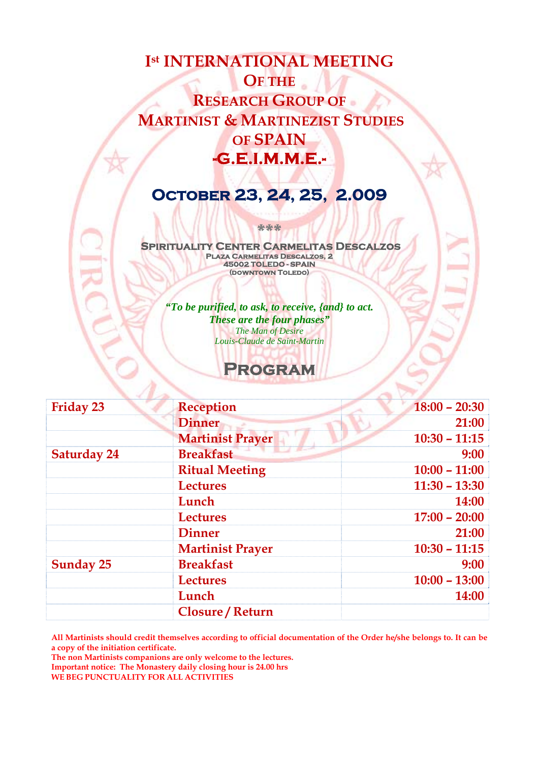# **Ist INTERNATIONAL MEETING OF THE RESEARCH GROUP OF MARTINIST & MARTINEZIST STUDIES OF SPAIN -G.E.I.M.M.E.-**

# **October 23, 24, 25, 2.009**

**\*\*\*** 

 **Spirituality Center Carmelitas Descalzos Plaza Carmelitas Descalzos, 2 45002 TOLEDO - SPAIN (downtown Toledo)** 

*"To be purified, to ask, to receive, {and} to act. These are the four phases" The Man of Desire Louis-Claude de Saint-Martin* 

## **Program**

| <b>Friday 23</b>   | <b>Reception</b>        | $18:00 - 20:30$ |
|--------------------|-------------------------|-----------------|
|                    | <b>Dinner</b>           | 21:00           |
|                    | <b>Martinist Prayer</b> | $10:30 - 11:15$ |
| <b>Saturday 24</b> | <b>Breakfast</b>        | 9:00            |
|                    | <b>Ritual Meeting</b>   | $10:00 - 11:00$ |
|                    | <b>Lectures</b>         | $11:30 - 13:30$ |
|                    | Lunch                   | 14:00           |
|                    | <b>Lectures</b>         | $17:00 - 20:00$ |
|                    | <b>Dinner</b>           | 21:00           |
|                    | <b>Martinist Prayer</b> | $10:30 - 11:15$ |
| <b>Sunday 25</b>   | <b>Breakfast</b>        | 9:00            |
|                    | <b>Lectures</b>         | $10:00 - 13:00$ |
|                    | Lunch                   | 14:00           |
|                    | <b>Closure / Return</b> |                 |

**All Martinists should credit themselves according to official documentation of the Order he/she belongs to. It can be a copy of the initiation certificate.** 

**The non Martinists companions are only welcome to the lectures. Important notice: The Monastery daily closing hour is 24.00 hrs WE BEG PUNCTUALITY FOR ALL ACTIVITIES**